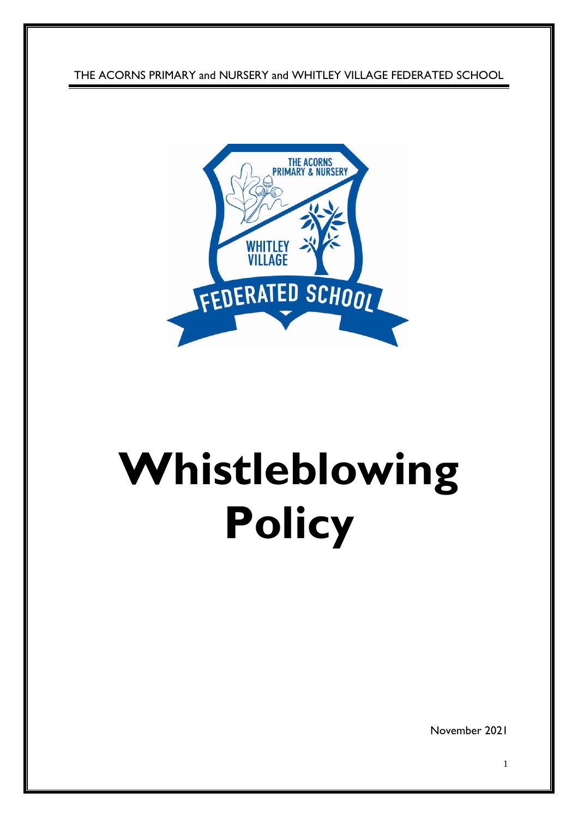THE ACORNS PRIMARY and NURSERY and WHITLEY VILLAGE FEDERATED SCHOOL



# **Whistleblowing Policy**

November 2021

1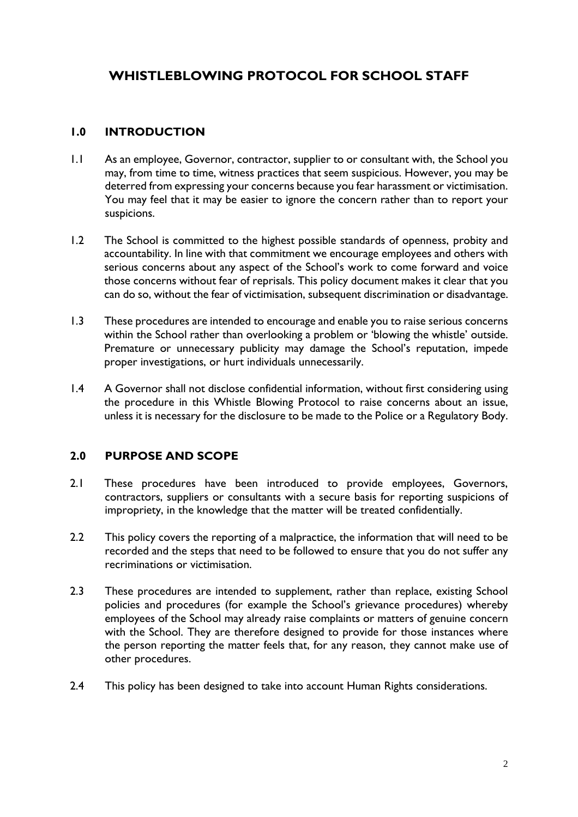# **WHISTLEBLOWING PROTOCOL FOR SCHOOL STAFF**

# **1.0 INTRODUCTION**

- 1.1 As an employee, Governor, contractor, supplier to or consultant with, the School you may, from time to time, witness practices that seem suspicious. However, you may be deterred from expressing your concerns because you fear harassment or victimisation. You may feel that it may be easier to ignore the concern rather than to report your suspicions.
- 1.2 The School is committed to the highest possible standards of openness, probity and accountability. In line with that commitment we encourage employees and others with serious concerns about any aspect of the School's work to come forward and voice those concerns without fear of reprisals. This policy document makes it clear that you can do so, without the fear of victimisation, subsequent discrimination or disadvantage.
- 1.3 These procedures are intended to encourage and enable you to raise serious concerns within the School rather than overlooking a problem or 'blowing the whistle' outside. Premature or unnecessary publicity may damage the School's reputation, impede proper investigations, or hurt individuals unnecessarily.
- 1.4 A Governor shall not disclose confidential information, without first considering using the procedure in this Whistle Blowing Protocol to raise concerns about an issue, unless it is necessary for the disclosure to be made to the Police or a Regulatory Body.

#### **2.0 PURPOSE AND SCOPE**

- 2.1 These procedures have been introduced to provide employees, Governors, contractors, suppliers or consultants with a secure basis for reporting suspicions of impropriety, in the knowledge that the matter will be treated confidentially.
- 2.2 This policy covers the reporting of a malpractice, the information that will need to be recorded and the steps that need to be followed to ensure that you do not suffer any recriminations or victimisation.
- 2.3 These procedures are intended to supplement, rather than replace, existing School policies and procedures (for example the School's grievance procedures) whereby employees of the School may already raise complaints or matters of genuine concern with the School. They are therefore designed to provide for those instances where the person reporting the matter feels that, for any reason, they cannot make use of other procedures.
- 2.4 This policy has been designed to take into account Human Rights considerations.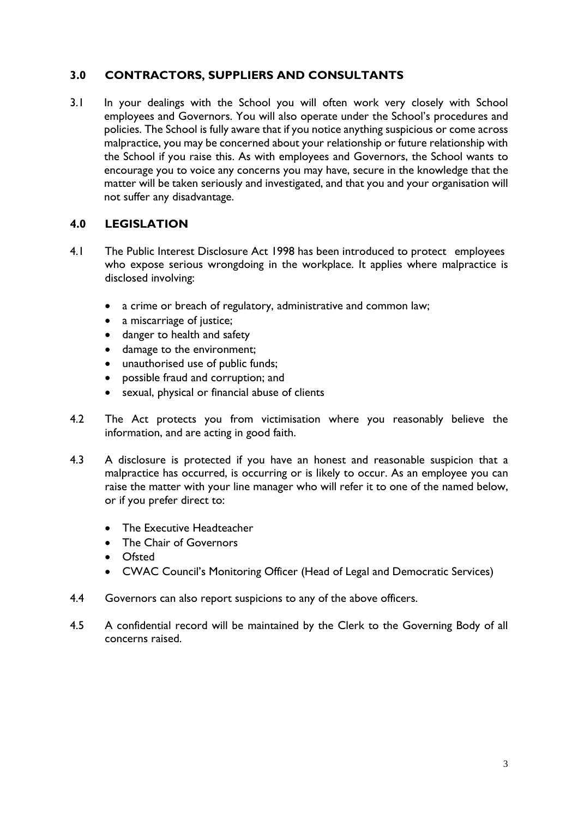# **3.0 CONTRACTORS, SUPPLIERS AND CONSULTANTS**

3.1 In your dealings with the School you will often work very closely with School employees and Governors. You will also operate under the School's procedures and policies. The School is fully aware that if you notice anything suspicious or come across malpractice, you may be concerned about your relationship or future relationship with the School if you raise this. As with employees and Governors, the School wants to encourage you to voice any concerns you may have, secure in the knowledge that the matter will be taken seriously and investigated, and that you and your organisation will not suffer any disadvantage.

#### **4.0 LEGISLATION**

- 4.1 The Public Interest Disclosure Act 1998 has been introduced to protect employees who expose serious wrongdoing in the workplace. It applies where malpractice is disclosed involving:
	- a crime or breach of regulatory, administrative and common law;
	- a miscarriage of justice;
	- danger to health and safety
	- damage to the environment;
	- unauthorised use of public funds;
	- possible fraud and corruption; and
	- sexual, physical or financial abuse of clients
- 4.2 The Act protects you from victimisation where you reasonably believe the information, and are acting in good faith.
- 4.3 A disclosure is protected if you have an honest and reasonable suspicion that a malpractice has occurred, is occurring or is likely to occur. As an employee you can raise the matter with your line manager who will refer it to one of the named below, or if you prefer direct to:
	- The Executive Headteacher
	- The Chair of Governors
	- Ofsted
	- CWAC Council's Monitoring Officer (Head of Legal and Democratic Services)
- 4.4 Governors can also report suspicions to any of the above officers.
- 4.5 A confidential record will be maintained by the Clerk to the Governing Body of all concerns raised.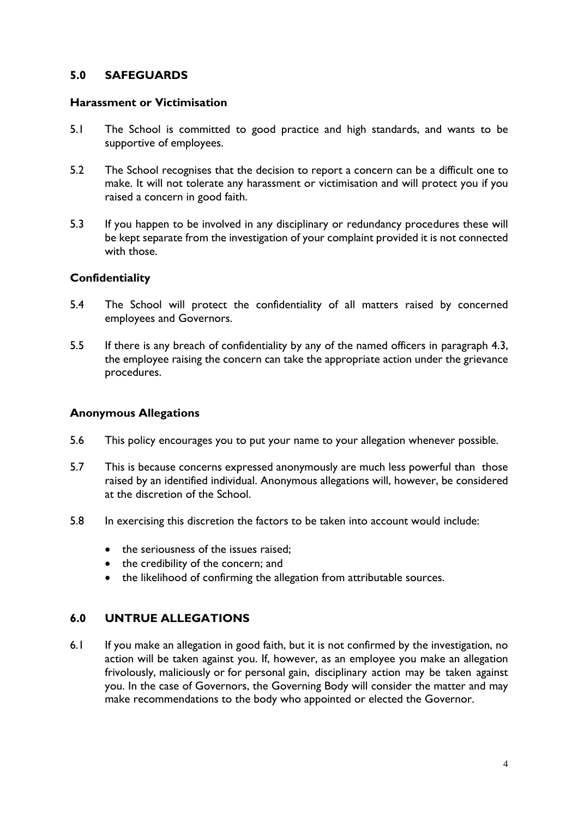#### **5.0 SAFEGUARDS**

#### **Harassment or Victimisation**

- 5.1 The School is committed to good practice and high standards, and wants to be supportive of employees.
- 5.2 The School recognises that the decision to report a concern can be a difficult one to make. It will not tolerate any harassment or victimisation and will protect you if you raised a concern in good faith.
- 5.3 If you happen to be involved in any disciplinary or redundancy procedures these will be kept separate from the investigation of your complaint provided it is not connected with those.

#### **Confidentiality**

- 5.4 The School will protect the confidentiality of all matters raised by concerned employees and Governors.
- 5.5 If there is any breach of confidentiality by any of the named officers in paragraph 4.3, the employee raising the concern can take the appropriate action under the grievance procedures.

#### **Anonymous Allegations**

- 5.6 This policy encourages you to put your name to your allegation whenever possible.
- 5.7 This is because concerns expressed anonymously are much less powerful than those raised by an identified individual. Anonymous allegations will, however, be considered at the discretion of the School.
- 5.8 In exercising this discretion the factors to be taken into account would include:
	- the seriousness of the issues raised:
	- the credibility of the concern; and
	- the likelihood of confirming the allegation from attributable sources.

#### **6.0 UNTRUE ALLEGATIONS**

6.1 If you make an allegation in good faith, but it is not confirmed by the investigation, no action will be taken against you. If, however, as an employee you make an allegation frivolously, maliciously or for personal gain, disciplinary action may be taken against you. In the case of Governors, the Governing Body will consider the matter and may make recommendations to the body who appointed or elected the Governor.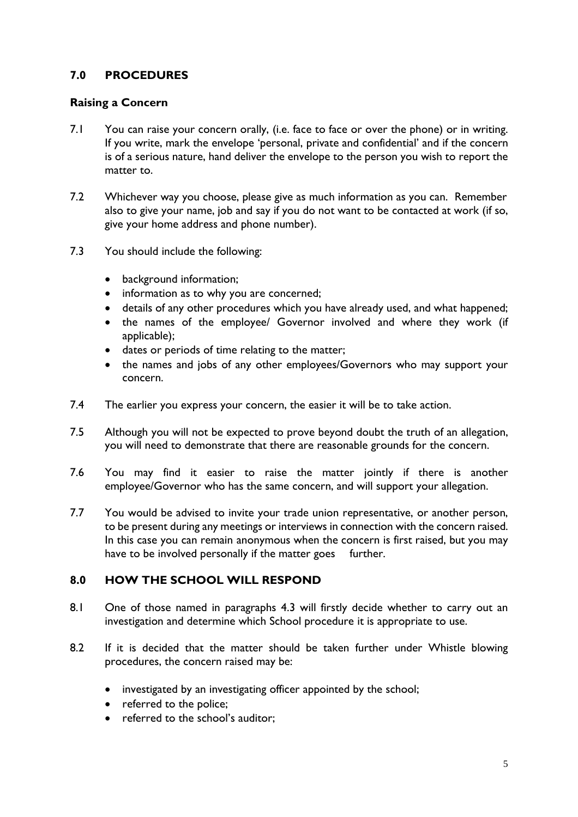# **7.0 PROCEDURES**

# **Raising a Concern**

- 7.1 You can raise your concern orally, (i.e. face to face or over the phone) or in writing. If you write, mark the envelope 'personal, private and confidential' and if the concern is of a serious nature, hand deliver the envelope to the person you wish to report the matter to.
- 7.2 Whichever way you choose, please give as much information as you can. Remember also to give your name, job and say if you do not want to be contacted at work (if so, give your home address and phone number).
- 7.3 You should include the following:
	- background information;
	- information as to why you are concerned;
	- details of any other procedures which you have already used, and what happened;
	- the names of the employee/ Governor involved and where they work (if applicable);
	- dates or periods of time relating to the matter;
	- the names and jobs of any other employees/Governors who may support your concern.
- 7.4 The earlier you express your concern, the easier it will be to take action.
- 7.5 Although you will not be expected to prove beyond doubt the truth of an allegation, you will need to demonstrate that there are reasonable grounds for the concern.
- 7.6 You may find it easier to raise the matter jointly if there is another employee/Governor who has the same concern, and will support your allegation.
- 7.7 You would be advised to invite your trade union representative, or another person, to be present during any meetings or interviews in connection with the concern raised. In this case you can remain anonymous when the concern is first raised, but you may have to be involved personally if the matter goes further.

#### **8.0 HOW THE SCHOOL WILL RESPOND**

- 8.1 One of those named in paragraphs 4.3 will firstly decide whether to carry out an investigation and determine which School procedure it is appropriate to use.
- 8.2 If it is decided that the matter should be taken further under Whistle blowing procedures, the concern raised may be:
	- investigated by an investigating officer appointed by the school;
	- referred to the police;
	- referred to the school's auditor: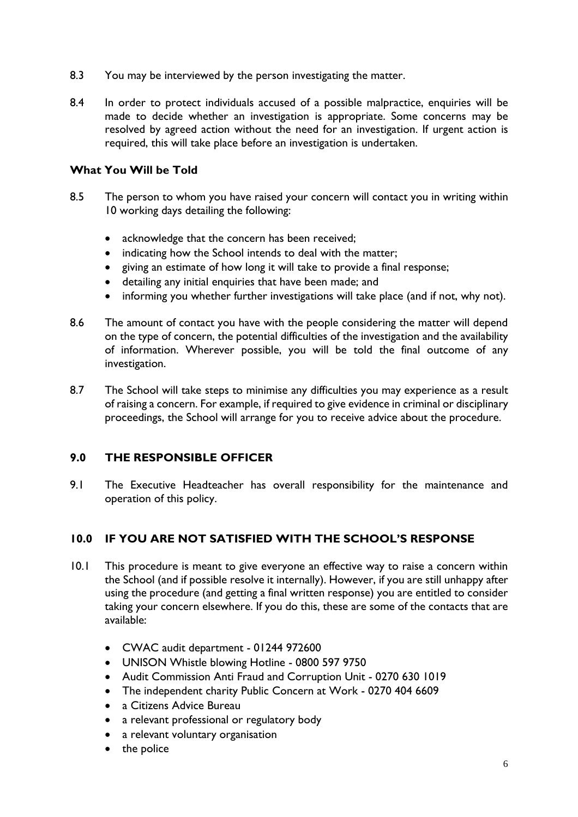- 8.3 You may be interviewed by the person investigating the matter.
- 8.4 In order to protect individuals accused of a possible malpractice, enquiries will be made to decide whether an investigation is appropriate. Some concerns may be resolved by agreed action without the need for an investigation. If urgent action is required, this will take place before an investigation is undertaken.

#### **What You Will be Told**

- 8.5 The person to whom you have raised your concern will contact you in writing within 10 working days detailing the following:
	- acknowledge that the concern has been received;
	- indicating how the School intends to deal with the matter;
	- giving an estimate of how long it will take to provide a final response;
	- detailing any initial enquiries that have been made; and
	- informing you whether further investigations will take place (and if not, why not).
- 8.6 The amount of contact you have with the people considering the matter will depend on the type of concern, the potential difficulties of the investigation and the availability of information. Wherever possible, you will be told the final outcome of any investigation.
- 8.7 The School will take steps to minimise any difficulties you may experience as a result of raising a concern. For example, if required to give evidence in criminal or disciplinary proceedings, the School will arrange for you to receive advice about the procedure.

#### **9.0 THE RESPONSIBLE OFFICER**

9.1 The Executive Headteacher has overall responsibility for the maintenance and operation of this policy.

# **10.0 IF YOU ARE NOT SATISFIED WITH THE SCHOOL'S RESPONSE**

- 10.1 This procedure is meant to give everyone an effective way to raise a concern within the School (and if possible resolve it internally). However, if you are still unhappy after using the procedure (and getting a final written response) you are entitled to consider taking your concern elsewhere. If you do this, these are some of the contacts that are available:
	- CWAC audit department 01244 972600
	- UNISON Whistle blowing Hotline 0800 597 9750
	- Audit Commission Anti Fraud and Corruption Unit 0270 630 1019
	- The independent charity Public Concern at Work 0270 404 6609
	- a Citizens Advice Bureau
	- a relevant professional or regulatory body
	- a relevant voluntary organisation
	- the police